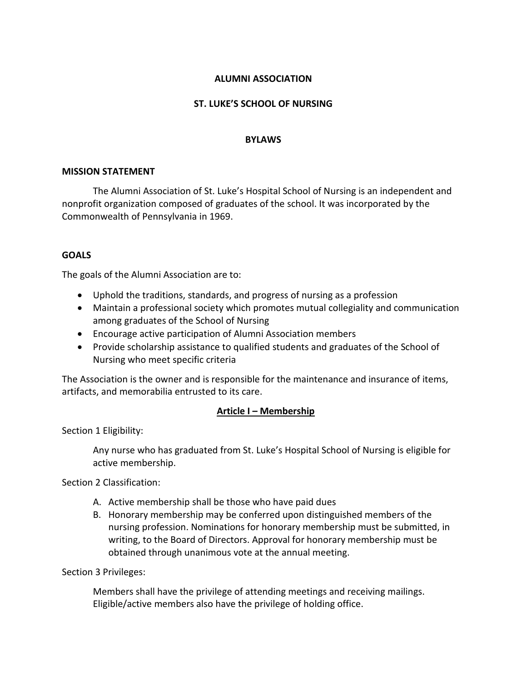### **ALUMNI ASSOCIATION**

### **ST. LUKE'S SCHOOL OF NURSING**

#### **BYLAWS**

#### **MISSION STATEMENT**

The Alumni Association of St. Luke's Hospital School of Nursing is an independent and nonprofit organization composed of graduates of the school. It was incorporated by the Commonwealth of Pennsylvania in 1969.

### **GOALS**

The goals of the Alumni Association are to:

- Uphold the traditions, standards, and progress of nursing as a profession
- Maintain a professional society which promotes mutual collegiality and communication among graduates of the School of Nursing
- Encourage active participation of Alumni Association members
- Provide scholarship assistance to qualified students and graduates of the School of Nursing who meet specific criteria

The Association is the owner and is responsible for the maintenance and insurance of items, artifacts, and memorabilia entrusted to its care.

### **Article I – Membership**

Section 1 Eligibility:

Any nurse who has graduated from St. Luke's Hospital School of Nursing is eligible for active membership.

Section 2 Classification:

- A. Active membership shall be those who have paid dues
- B. Honorary membership may be conferred upon distinguished members of the nursing profession. Nominations for honorary membership must be submitted, in writing, to the Board of Directors. Approval for honorary membership must be obtained through unanimous vote at the annual meeting.

Section 3 Privileges:

Members shall have the privilege of attending meetings and receiving mailings. Eligible/active members also have the privilege of holding office.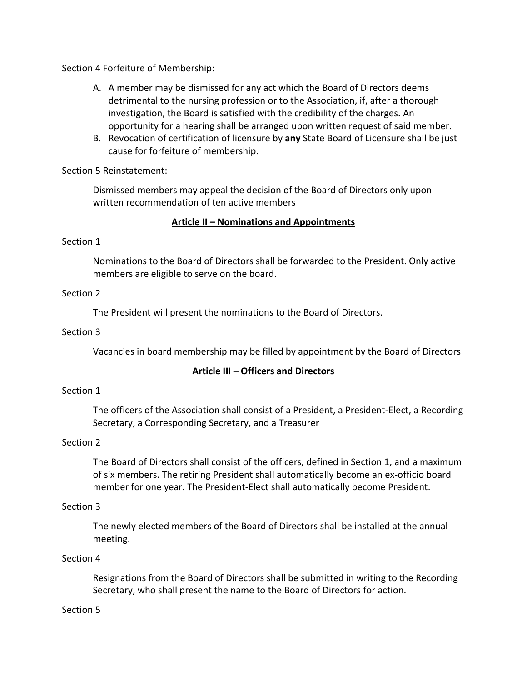Section 4 Forfeiture of Membership:

- A. A member may be dismissed for any act which the Board of Directors deems detrimental to the nursing profession or to the Association, if, after a thorough investigation, the Board is satisfied with the credibility of the charges. An opportunity for a hearing shall be arranged upon written request of said member.
- B. Revocation of certification of licensure by **any** State Board of Licensure shall be just cause for forfeiture of membership.

Section 5 Reinstatement:

Dismissed members may appeal the decision of the Board of Directors only upon written recommendation of ten active members

# **Article II – Nominations and Appointments**

# Section 1

Nominations to the Board of Directors shall be forwarded to the President. Only active members are eligible to serve on the board.

# Section 2

The President will present the nominations to the Board of Directors.

### Section 3

Vacancies in board membership may be filled by appointment by the Board of Directors

# **Article III – Officers and Directors**

# Section 1

The officers of the Association shall consist of a President, a President-Elect, a Recording Secretary, a Corresponding Secretary, and a Treasurer

# Section 2

The Board of Directors shall consist of the officers, defined in Section 1, and a maximum of six members. The retiring President shall automatically become an ex-officio board member for one year. The President-Elect shall automatically become President.

### Section 3

The newly elected members of the Board of Directors shall be installed at the annual meeting.

### Section 4

Resignations from the Board of Directors shall be submitted in writing to the Recording Secretary, who shall present the name to the Board of Directors for action.

### Section 5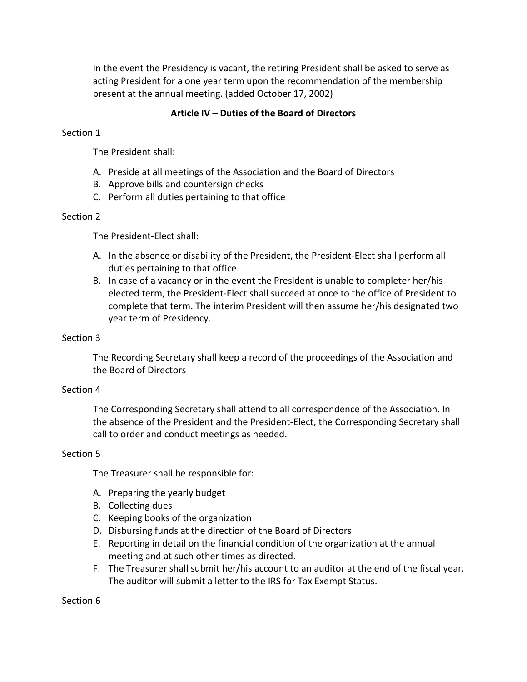In the event the Presidency is vacant, the retiring President shall be asked to serve as acting President for a one year term upon the recommendation of the membership present at the annual meeting. (added October 17, 2002)

# **Article IV – Duties of the Board of Directors**

### Section 1

The President shall:

- A. Preside at all meetings of the Association and the Board of Directors
- B. Approve bills and countersign checks
- C. Perform all duties pertaining to that office

### Section 2

The President-Elect shall:

- A. In the absence or disability of the President, the President-Elect shall perform all duties pertaining to that office
- B. In case of a vacancy or in the event the President is unable to completer her/his elected term, the President-Elect shall succeed at once to the office of President to complete that term. The interim President will then assume her/his designated two year term of Presidency.

### Section 3

The Recording Secretary shall keep a record of the proceedings of the Association and the Board of Directors

### Section 4

The Corresponding Secretary shall attend to all correspondence of the Association. In the absence of the President and the President-Elect, the Corresponding Secretary shall call to order and conduct meetings as needed.

### Section 5

The Treasurer shall be responsible for:

- A. Preparing the yearly budget
- B. Collecting dues
- C. Keeping books of the organization
- D. Disbursing funds at the direction of the Board of Directors
- E. Reporting in detail on the financial condition of the organization at the annual meeting and at such other times as directed.
- F. The Treasurer shall submit her/his account to an auditor at the end of the fiscal year. The auditor will submit a letter to the IRS for Tax Exempt Status.

Section 6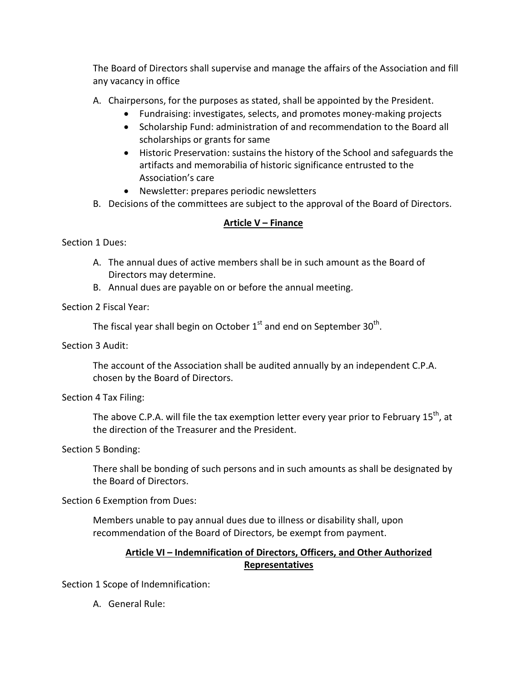The Board of Directors shall supervise and manage the affairs of the Association and fill any vacancy in office

- A. Chairpersons, for the purposes as stated, shall be appointed by the President.
	- Fundraising: investigates, selects, and promotes money-making projects
	- Scholarship Fund: administration of and recommendation to the Board all scholarships or grants for same
	- Historic Preservation: sustains the history of the School and safeguards the artifacts and memorabilia of historic significance entrusted to the Association's care
	- Newsletter: prepares periodic newsletters
- B. Decisions of the committees are subject to the approval of the Board of Directors.

# **Article V – Finance**

Section 1 Dues:

- A. The annual dues of active members shall be in such amount as the Board of Directors may determine.
- B. Annual dues are payable on or before the annual meeting.

Section 2 Fiscal Year:

The fiscal year shall begin on October  $1<sup>st</sup>$  and end on September 30<sup>th</sup>.

Section 3 Audit:

The account of the Association shall be audited annually by an independent C.P.A. chosen by the Board of Directors.

Section 4 Tax Filing:

The above C.P.A. will file the tax exemption letter every year prior to February 15<sup>th</sup>, at the direction of the Treasurer and the President.

Section 5 Bonding:

There shall be bonding of such persons and in such amounts as shall be designated by the Board of Directors.

Section 6 Exemption from Dues:

Members unable to pay annual dues due to illness or disability shall, upon recommendation of the Board of Directors, be exempt from payment.

# **Article VI – Indemnification of Directors, Officers, and Other Authorized Representatives**

Section 1 Scope of Indemnification:

A. General Rule: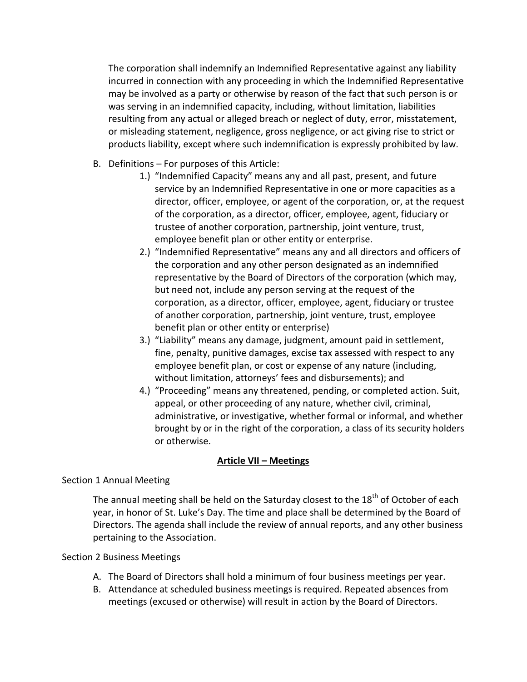The corporation shall indemnify an Indemnified Representative against any liability incurred in connection with any proceeding in which the Indemnified Representative may be involved as a party or otherwise by reason of the fact that such person is or was serving in an indemnified capacity, including, without limitation, liabilities resulting from any actual or alleged breach or neglect of duty, error, misstatement, or misleading statement, negligence, gross negligence, or act giving rise to strict or products liability, except where such indemnification is expressly prohibited by law.

- B. Definitions For purposes of this Article:
	- 1.) "Indemnified Capacity" means any and all past, present, and future service by an Indemnified Representative in one or more capacities as a director, officer, employee, or agent of the corporation, or, at the request of the corporation, as a director, officer, employee, agent, fiduciary or trustee of another corporation, partnership, joint venture, trust, employee benefit plan or other entity or enterprise.
	- 2.) "Indemnified Representative" means any and all directors and officers of the corporation and any other person designated as an indemnified representative by the Board of Directors of the corporation (which may, but need not, include any person serving at the request of the corporation, as a director, officer, employee, agent, fiduciary or trustee of another corporation, partnership, joint venture, trust, employee benefit plan or other entity or enterprise)
	- 3.) "Liability" means any damage, judgment, amount paid in settlement, fine, penalty, punitive damages, excise tax assessed with respect to any employee benefit plan, or cost or expense of any nature (including, without limitation, attorneys' fees and disbursements); and
	- 4.) "Proceeding" means any threatened, pending, or completed action. Suit, appeal, or other proceeding of any nature, whether civil, criminal, administrative, or investigative, whether formal or informal, and whether brought by or in the right of the corporation, a class of its security holders or otherwise.

# **Article VII – Meetings**

### Section 1 Annual Meeting

The annual meeting shall be held on the Saturday closest to the  $18<sup>th</sup>$  of October of each year, in honor of St. Luke's Day. The time and place shall be determined by the Board of Directors. The agenda shall include the review of annual reports, and any other business pertaining to the Association.

### Section 2 Business Meetings

- A. The Board of Directors shall hold a minimum of four business meetings per year.
- B. Attendance at scheduled business meetings is required. Repeated absences from meetings (excused or otherwise) will result in action by the Board of Directors.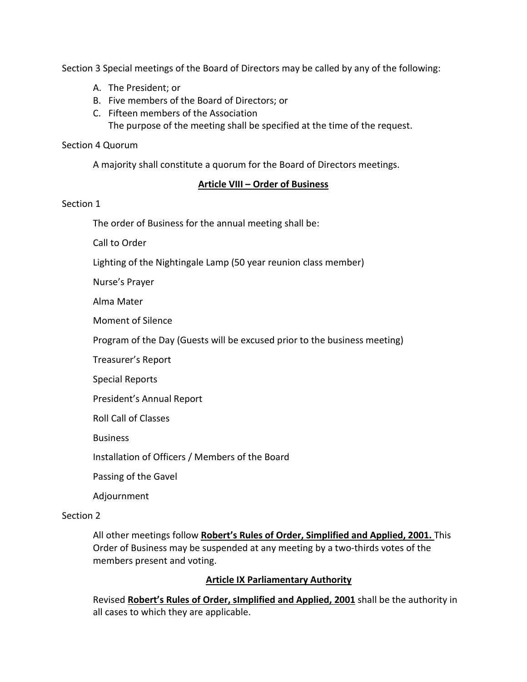Section 3 Special meetings of the Board of Directors may be called by any of the following:

- A. The President; or
- B. Five members of the Board of Directors; or
- C. Fifteen members of the Association The purpose of the meeting shall be specified at the time of the request.

#### Section 4 Quorum

A majority shall constitute a quorum for the Board of Directors meetings.

### **Article VIII – Order of Business**

### Section 1

The order of Business for the annual meeting shall be:

Call to Order

Lighting of the Nightingale Lamp (50 year reunion class member)

Nurse's Prayer

Alma Mater

Moment of Silence

Program of the Day (Guests will be excused prior to the business meeting)

Treasurer's Report

Special Reports

President's Annual Report

Roll Call of Classes

Business

Installation of Officers / Members of the Board

Passing of the Gavel

Adjournment

#### Section 2

All other meetings follow **Robert's Rules of Order, Simplified and Applied, 2001.** This Order of Business may be suspended at any meeting by a two-thirds votes of the members present and voting.

### **Article IX Parliamentary Authority**

Revised **Robert's Rules of Order, sImplified and Applied, 2001** shall be the authority in all cases to which they are applicable.